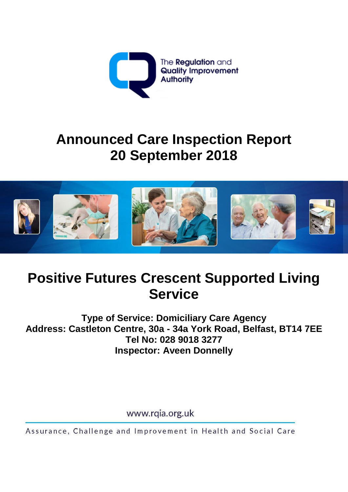

# **Announced Care Inspection Report 20 September 2018**



## **Positive Futures Crescent Supported Living Service**

**Type of Service: Domiciliary Care Agency Address: Castleton Centre, 30a - 34a York Road, Belfast, BT14 7EE Tel No: 028 9018 3277 Inspector: Aveen Donnelly**

www.rqia.org.uk

Assurance, Challenge and Improvement in Health and Social Care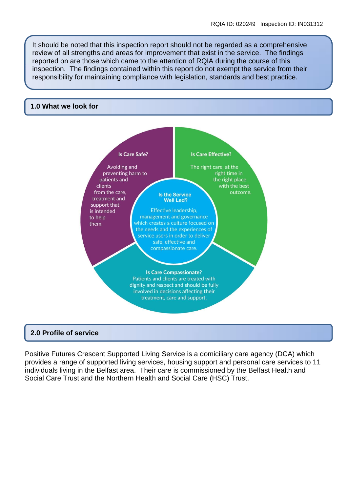It should be noted that this inspection report should not be regarded as a comprehensive review of all strengths and areas for improvement that exist in the service. The findings reported on are those which came to the attention of RQIA during the course of this inspection. The findings contained within this report do not exempt the service from their responsibility for maintaining compliance with legislation, standards and best practice.

#### **1.0 What we look for**



Positive Futures Crescent Supported Living Service is a domiciliary care agency (DCA) which provides a range of supported living services, housing support and personal care services to 11 individuals living in the Belfast area. Their care is commissioned by the Belfast Health and Social Care Trust and the Northern Health and Social Care (HSC) Trust.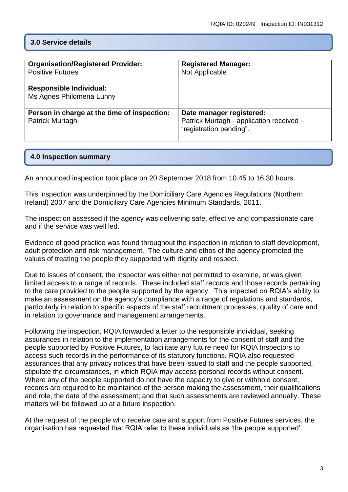## **3.0 Service details**

| <b>Organisation/Registered Provider:</b><br><b>Positive Futures</b><br><b>Responsible Individual:</b><br>Ms Agnes Philomena Lunny | <b>Registered Manager:</b><br>Not Applicable                                                    |
|-----------------------------------------------------------------------------------------------------------------------------------|-------------------------------------------------------------------------------------------------|
| Person in charge at the time of inspection:<br><b>Patrick Murtagh</b>                                                             | Date manager registered:<br>Patrick Murtagh - application received -<br>"registration pending". |

#### **4.0 Inspection summary**

An announced inspection took place on 20 September 2018 from 10.45 to 16.30 hours.

This inspection was underpinned by the Domiciliary Care Agencies Regulations (Northern Ireland) 2007 and the Domiciliary Care Agencies Minimum Standards, 2011.

The inspection assessed if the agency was delivering safe, effective and compassionate care and if the service was well led.

Evidence of good practice was found throughout the inspection in relation to staff development, adult protection and risk management. The culture and ethos of the agency promoted the values of treating the people they supported with dignity and respect.

Due to issues of consent, the inspector was either not permitted to examine, or was given limited access to a range of records. These included staff records and those records pertaining to the care provided to the people supported by the agency. This impacted on RQIA's ability to make an assessment on the agency's compliance with a range of regulations and standards, particularly in relation to specific aspects of the staff recruitment processes; quality of care and in relation to governance and management arrangements.

Following the inspection, RQIA forwarded a letter to the responsible individual, seeking assurances in relation to the implementation arrangements for the consent of staff and the people supported by Positive Futures, to facilitate any future need for RQIA Inspectors to access such records in the performance of its statutory functions. RQIA also requested assurances that any privacy notices that have been issued to staff and the people supported, stipulate the circumstances, in which RQIA may access personal records without consent. Where any of the people supported do not have the capacity to give or withhold consent, records are required to be maintained of the person making the assessment, their qualifications and role, the date of the assessment; and that such assessments are reviewed annually. These matters will be followed up at a future inspection.

At the request of the people who receive care and support from Positive Futures services, the organisation has requested that RQIA refer to these individuals as 'the people supported'.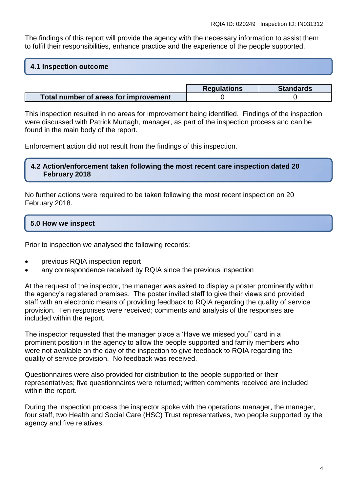The findings of this report will provide the agency with the necessary information to assist them to fulfil their responsibilities, enhance practice and the experience of the people supported.

#### **4.1 Inspection outcome**

|                                       | <b>Regulations</b> | <b>Standards</b> |
|---------------------------------------|--------------------|------------------|
| Total number of areas for improvement |                    |                  |

This inspection resulted in no areas for improvement being identified. Findings of the inspection were discussed with Patrick Murtagh, manager, as part of the inspection process and can be found in the main body of the report.

Enforcement action did not result from the findings of this inspection.

#### **4.2 Action/enforcement taken following the most recent care inspection dated 20 February 2018**

No further actions were required to be taken following the most recent inspection on 20 February 2018.

#### **5.0 How we inspect**

Prior to inspection we analysed the following records:

- previous RQIA inspection report
- any correspondence received by RQIA since the previous inspection

At the request of the inspector, the manager was asked to display a poster prominently within the agency's registered premises. The poster invited staff to give their views and provided staff with an electronic means of providing feedback to RQIA regarding the quality of service provision. Ten responses were received; comments and analysis of the responses are included within the report.

The inspector requested that the manager place a 'Have we missed you"' card in a prominent position in the agency to allow the people supported and family members who were not available on the day of the inspection to give feedback to RQIA regarding the quality of service provision. No feedback was received.

Questionnaires were also provided for distribution to the people supported or their representatives; five questionnaires were returned; written comments received are included within the report.

During the inspection process the inspector spoke with the operations manager, the manager, four staff, two Health and Social Care (HSC) Trust representatives, two people supported by the agency and five relatives.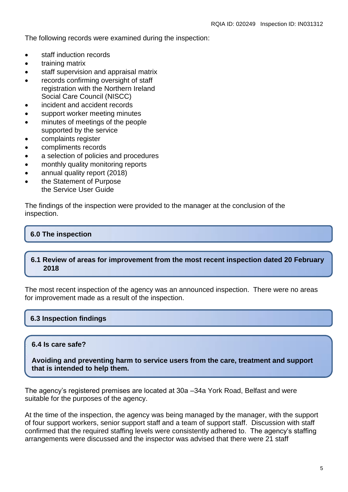The following records were examined during the inspection:

- staff induction records
- training matrix
- staff supervision and appraisal matrix
- records confirming oversight of staff registration with the Northern Ireland Social Care Council (NISCC)
- incident and accident records
- support worker meeting minutes
- minutes of meetings of the people supported by the service
- complaints register
- compliments records
- a selection of policies and procedures
- monthly quality monitoring reports
- annual quality report (2018)
- the Statement of Purpose the Service User Guide

The findings of the inspection were provided to the manager at the conclusion of the inspection.

## **6.0 The inspection**

## **6.1 Review of areas for improvement from the most recent inspection dated 20 February 2018**

The most recent inspection of the agency was an announced inspection. There were no areas for improvement made as a result of the inspection.

## **6.3 Inspection findings**

## **6.4 Is care safe?**

**Avoiding and preventing harm to service users from the care, treatment and support that is intended to help them.**

The agency's registered premises are located at 30a –34a York Road, Belfast and were suitable for the purposes of the agency.

At the time of the inspection, the agency was being managed by the manager, with the support of four support workers, senior support staff and a team of support staff. Discussion with staff confirmed that the required staffing levels were consistently adhered to. The agency's staffing arrangements were discussed and the inspector was advised that there were 21 staff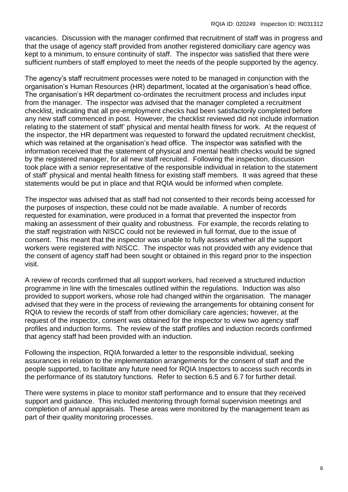vacancies. Discussion with the manager confirmed that recruitment of staff was in progress and that the usage of agency staff provided from another registered domiciliary care agency was kept to a minimum, to ensure continuity of staff. The inspector was satisfied that there were sufficient numbers of staff employed to meet the needs of the people supported by the agency.

The agency's staff recruitment processes were noted to be managed in conjunction with the organisation's Human Resources (HR) department, located at the organisation's head office. The organisation's HR department co-ordinates the recruitment process and includes input from the manager. The inspector was advised that the manager completed a recruitment checklist, indicating that all pre-employment checks had been satisfactorily completed before any new staff commenced in post. However, the checklist reviewed did not include information relating to the statement of staff' physical and mental health fitness for work. At the request of the inspector, the HR department was requested to forward the updated recruitment checklist, which was retained at the organisation's head office. The inspector was satisfied with the information received that the statement of physical and mental health checks would be signed by the registered manager, for all new staff recruited. Following the inspection, discussion took place with a senior representative of the responsible individual in relation to the statement of staff' physical and mental health fitness for existing staff members. It was agreed that these statements would be put in place and that RQIA would be informed when complete.

The inspector was advised that as staff had not consented to their records being accessed for the purposes of inspection, these could not be made available. A number of records requested for examination, were produced in a format that prevented the inspector from making an assessment of their quality and robustness. For example, the records relating to the staff registration with NISCC could not be reviewed in full format, due to the issue of consent. This meant that the inspector was unable to fully assess whether all the support workers were registered with NISCC. The inspector was not provided with any evidence that the consent of agency staff had been sought or obtained in this regard prior to the inspection visit.

A review of records confirmed that all support workers, had received a structured induction programme in line with the timescales outlined within the regulations. Induction was also provided to support workers, whose role had changed within the organisation. The manager advised that they were in the process of reviewing the arrangements for obtaining consent for RQIA to review the records of staff from other domiciliary care agencies; however, at the request of the inspector, consent was obtained for the inspector to view two agency staff profiles and induction forms. The review of the staff profiles and induction records confirmed that agency staff had been provided with an induction.

Following the inspection, RQIA forwarded a letter to the responsible individual, seeking assurances in relation to the implementation arrangements for the consent of staff and the people supported, to facilitate any future need for RQIA Inspectors to access such records in the performance of its statutory functions. Refer to section 6.5 and 6.7 for further detail.

There were systems in place to monitor staff performance and to ensure that they received support and guidance. This included mentoring through formal supervision meetings and completion of annual appraisals. These areas were monitored by the management team as part of their quality monitoring processes.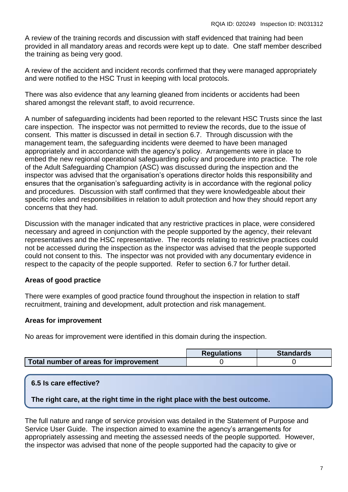A review of the training records and discussion with staff evidenced that training had been provided in all mandatory areas and records were kept up to date. One staff member described the training as being very good.

A review of the accident and incident records confirmed that they were managed appropriately and were notified to the HSC Trust in keeping with local protocols.

There was also evidence that any learning gleaned from incidents or accidents had been shared amongst the relevant staff, to avoid recurrence.

A number of safeguarding incidents had been reported to the relevant HSC Trusts since the last care inspection. The inspector was not permitted to review the records, due to the issue of consent. This matter is discussed in detail in section 6.7. Through discussion with the management team, the safeguarding incidents were deemed to have been managed appropriately and in accordance with the agency's policy. Arrangements were in place to embed the new regional operational safeguarding policy and procedure into practice. The role of the Adult Safeguarding Champion (ASC) was discussed during the inspection and the inspector was advised that the organisation's operations director holds this responsibility and ensures that the organisation's safeguarding activity is in accordance with the regional policy and procedures. Discussion with staff confirmed that they were knowledgeable about their specific roles and responsibilities in relation to adult protection and how they should report any concerns that they had.

Discussion with the manager indicated that any restrictive practices in place, were considered necessary and agreed in conjunction with the people supported by the agency, their relevant representatives and the HSC representative. The records relating to restrictive practices could not be accessed during the inspection as the inspector was advised that the people supported could not consent to this. The inspector was not provided with any documentary evidence in respect to the capacity of the people supported. Refer to section 6.7 for further detail.

## **Areas of good practice**

There were examples of good practice found throughout the inspection in relation to staff recruitment, training and development, adult protection and risk management.

## **Areas for improvement**

No areas for improvement were identified in this domain during the inspection.

|                                       | <b>Requlations</b> | <b>Standards</b> |
|---------------------------------------|--------------------|------------------|
| Total number of areas for improvement |                    |                  |

## **6.5 Is care effective?**

**The right care, at the right time in the right place with the best outcome.**

The full nature and range of service provision was detailed in the Statement of Purpose and Service User Guide. The inspection aimed to examine the agency's arrangements for appropriately assessing and meeting the assessed needs of the people supported. However, the inspector was advised that none of the people supported had the capacity to give or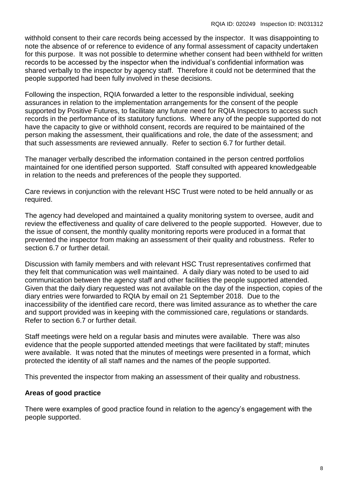withhold consent to their care records being accessed by the inspector. It was disappointing to note the absence of or reference to evidence of any formal assessment of capacity undertaken for this purpose. It was not possible to determine whether consent had been withheld for written records to be accessed by the inspector when the individual's confidential information was shared verbally to the inspector by agency staff. Therefore it could not be determined that the people supported had been fully involved in these decisions.

Following the inspection, RQIA forwarded a letter to the responsible individual, seeking assurances in relation to the implementation arrangements for the consent of the people supported by Positive Futures, to facilitate any future need for RQIA Inspectors to access such records in the performance of its statutory functions. Where any of the people supported do not have the capacity to give or withhold consent, records are required to be maintained of the person making the assessment, their qualifications and role, the date of the assessment; and that such assessments are reviewed annually. Refer to section 6.7 for further detail.

The manager verbally described the information contained in the person centred portfolios maintained for one identified person supported. Staff consulted with appeared knowledgeable in relation to the needs and preferences of the people they supported.

Care reviews in conjunction with the relevant HSC Trust were noted to be held annually or as required.

The agency had developed and maintained a quality monitoring system to oversee, audit and review the effectiveness and quality of care delivered to the people supported. However, due to the issue of consent, the monthly quality monitoring reports were produced in a format that prevented the inspector from making an assessment of their quality and robustness. Refer to section 6.7 or further detail.

Discussion with family members and with relevant HSC Trust representatives confirmed that they felt that communication was well maintained. A daily diary was noted to be used to aid communication between the agency staff and other facilities the people supported attended. Given that the daily diary requested was not available on the day of the inspection, copies of the diary entries were forwarded to RQIA by email on 21 September 2018. Due to the inaccessibility of the identified care record, there was limited assurance as to whether the care and support provided was in keeping with the commissioned care, regulations or standards. Refer to section 6.7 or further detail.

Staff meetings were held on a regular basis and minutes were available. There was also evidence that the people supported attended meetings that were facilitated by staff; minutes were available. It was noted that the minutes of meetings were presented in a format, which protected the identity of all staff names and the names of the people supported.

This prevented the inspector from making an assessment of their quality and robustness.

## **Areas of good practice**

There were examples of good practice found in relation to the agency's engagement with the people supported.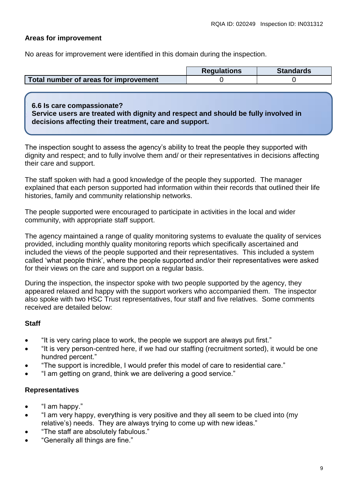## **Areas for improvement**

No areas for improvement were identified in this domain during the inspection.

|                                       | <b>Requlations</b> | <b>Standards</b> |
|---------------------------------------|--------------------|------------------|
| Total number of areas for improvement |                    |                  |

#### **6.6 Is care compassionate?**

**Service users are treated with dignity and respect and should be fully involved in decisions affecting their treatment, care and support.**

The inspection sought to assess the agency's ability to treat the people they supported with dignity and respect; and to fully involve them and/ or their representatives in decisions affecting their care and support.

The staff spoken with had a good knowledge of the people they supported. The manager explained that each person supported had information within their records that outlined their life histories, family and community relationship networks.

The people supported were encouraged to participate in activities in the local and wider community, with appropriate staff support.

The agency maintained a range of quality monitoring systems to evaluate the quality of services provided, including monthly quality monitoring reports which specifically ascertained and included the views of the people supported and their representatives. This included a system called 'what people think', where the people supported and/or their representatives were asked for their views on the care and support on a regular basis.

During the inspection, the inspector spoke with two people supported by the agency, they appeared relaxed and happy with the support workers who accompanied them. The inspector also spoke with two HSC Trust representatives, four staff and five relatives. Some comments received are detailed below:

## **Staff**

- "It is very caring place to work, the people we support are always put first."
- "It is very person-centred here, if we had our staffing (recruitment sorted), it would be one hundred percent."
- "The support is incredible, I would prefer this model of care to residential care."
- "I am getting on grand, think we are delivering a good service."

#### **Representatives**

- "I am happy."
- "I am very happy, everything is very positive and they all seem to be clued into (my relative's) needs. They are always trying to come up with new ideas."
- "The staff are absolutely fabulous."
- "Generally all things are fine."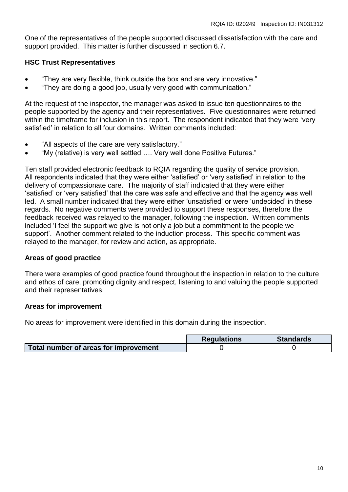One of the representatives of the people supported discussed dissatisfaction with the care and support provided. This matter is further discussed in section 6.7.

#### **HSC Trust Representatives**

- "They are very flexible, think outside the box and are very innovative."
- "They are doing a good job, usually very good with communication."

At the request of the inspector, the manager was asked to issue ten questionnaires to the people supported by the agency and their representatives. Five questionnaires were returned within the timeframe for inclusion in this report. The respondent indicated that they were 'very satisfied' in relation to all four domains. Written comments included:

- "All aspects of the care are very satisfactory."
- "My (relative) is very well settled …. Very well done Positive Futures."

Ten staff provided electronic feedback to RQIA regarding the quality of service provision. All respondents indicated that they were either 'satisfied' or 'very satisfied' in relation to the delivery of compassionate care. The majority of staff indicated that they were either 'satisfied' or 'very satisfied' that the care was safe and effective and that the agency was well led. A small number indicated that they were either 'unsatisfied' or were 'undecided' in these regards. No negative comments were provided to support these responses, therefore the feedback received was relayed to the manager, following the inspection. Written comments included 'I feel the support we give is not only a job but a commitment to the people we support'. Another comment related to the induction process. This specific comment was relayed to the manager, for review and action, as appropriate.

## **Areas of good practice**

There were examples of good practice found throughout the inspection in relation to the culture and ethos of care, promoting dignity and respect, listening to and valuing the people supported and their representatives.

#### **Areas for improvement**

No areas for improvement were identified in this domain during the inspection.

|                                       | <b>Requlations</b> | <b>Standards</b> |
|---------------------------------------|--------------------|------------------|
| Total number of areas for improvement |                    |                  |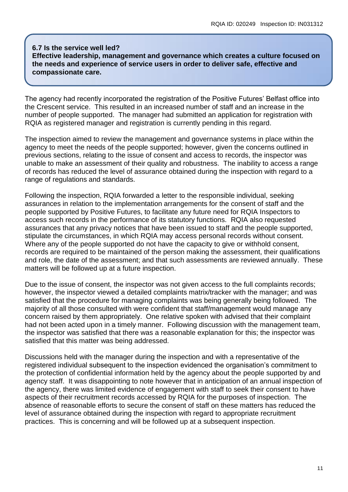#### **6.7 Is the service well led? Effective leadership, management and governance which creates a culture focused on the needs and experience of service users in order to deliver safe, effective and compassionate care.**

The agency had recently incorporated the registration of the Positive Futures' Belfast office into the Crescent service. This resulted in an increased number of staff and an increase in the number of people supported. The manager had submitted an application for registration with RQIA as registered manager and registration is currently pending in this regard.

The inspection aimed to review the management and governance systems in place within the agency to meet the needs of the people supported; however, given the concerns outlined in previous sections, relating to the issue of consent and access to records, the inspector was unable to make an assessment of their quality and robustness. The inability to access a range of records has reduced the level of assurance obtained during the inspection with regard to a range of regulations and standards.

Following the inspection, RQIA forwarded a letter to the responsible individual, seeking assurances in relation to the implementation arrangements for the consent of staff and the people supported by Positive Futures, to facilitate any future need for RQIA Inspectors to access such records in the performance of its statutory functions. RQIA also requested assurances that any privacy notices that have been issued to staff and the people supported, stipulate the circumstances, in which RQIA may access personal records without consent. Where any of the people supported do not have the capacity to give or withhold consent, records are required to be maintained of the person making the assessment, their qualifications and role, the date of the assessment; and that such assessments are reviewed annually. These matters will be followed up at a future inspection.

Due to the issue of consent, the inspector was not given access to the full complaints records; however, the inspector viewed a detailed complaints matrix/tracker with the manager; and was satisfied that the procedure for managing complaints was being generally being followed. The majority of all those consulted with were confident that staff/management would manage any concern raised by them appropriately. One relative spoken with advised that their complaint had not been acted upon in a timely manner. Following discussion with the management team, the inspector was satisfied that there was a reasonable explanation for this; the inspector was satisfied that this matter was being addressed.

Discussions held with the manager during the inspection and with a representative of the registered individual subsequent to the inspection evidenced the organisation's commitment to the protection of confidential information held by the agency about the people supported by and agency staff. It was disappointing to note however that in anticipation of an annual inspection of the agency, there was limited evidence of engagement with staff to seek their consent to have aspects of their recruitment records accessed by RQIA for the purposes of inspection. The absence of reasonable efforts to secure the consent of staff on these matters has reduced the level of assurance obtained during the inspection with regard to appropriate recruitment practices. This is concerning and will be followed up at a subsequent inspection.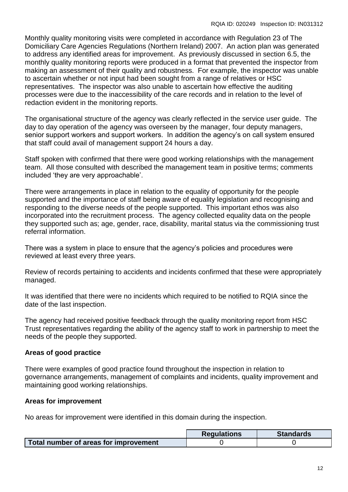Monthly quality monitoring visits were completed in accordance with Regulation 23 of The Domiciliary Care Agencies Regulations (Northern Ireland) 2007. An action plan was generated to address any identified areas for improvement. As previously discussed in section 6.5, the monthly quality monitoring reports were produced in a format that prevented the inspector from making an assessment of their quality and robustness. For example, the inspector was unable to ascertain whether or not input had been sought from a range of relatives or HSC representatives. The inspector was also unable to ascertain how effective the auditing processes were due to the inaccessibility of the care records and in relation to the level of redaction evident in the monitoring reports.

The organisational structure of the agency was clearly reflected in the service user guide. The day to day operation of the agency was overseen by the manager, four deputy managers, senior support workers and support workers. In addition the agency's on call system ensured that staff could avail of management support 24 hours a day.

Staff spoken with confirmed that there were good working relationships with the management team. All those consulted with described the management team in positive terms; comments included 'they are very approachable'.

There were arrangements in place in relation to the equality of opportunity for the people supported and the importance of staff being aware of equality legislation and recognising and responding to the diverse needs of the people supported. This important ethos was also incorporated into the recruitment process. The agency collected equality data on the people they supported such as; age, gender, race, disability, marital status via the commissioning trust referral information.

There was a system in place to ensure that the agency's policies and procedures were reviewed at least every three years.

Review of records pertaining to accidents and incidents confirmed that these were appropriately managed.

It was identified that there were no incidents which required to be notified to RQIA since the date of the last inspection.

The agency had received positive feedback through the quality monitoring report from HSC Trust representatives regarding the ability of the agency staff to work in partnership to meet the needs of the people they supported.

## **Areas of good practice**

There were examples of good practice found throughout the inspection in relation to governance arrangements, management of complaints and incidents, quality improvement and maintaining good working relationships.

## **Areas for improvement**

No areas for improvement were identified in this domain during the inspection.

|                                       | <b>Regulations</b> | <b>Standards</b> |
|---------------------------------------|--------------------|------------------|
| Total number of areas for improvement |                    |                  |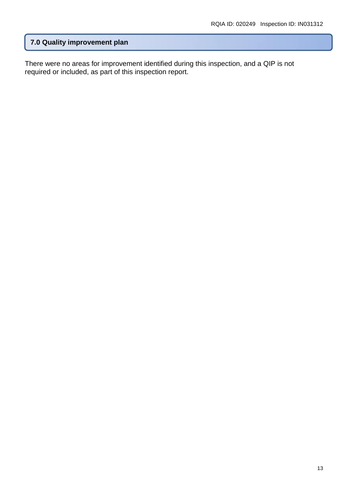## **7.0 Quality improvement plan**

There were no areas for improvement identified during this inspection, and a QIP is not required or included, as part of this inspection report.